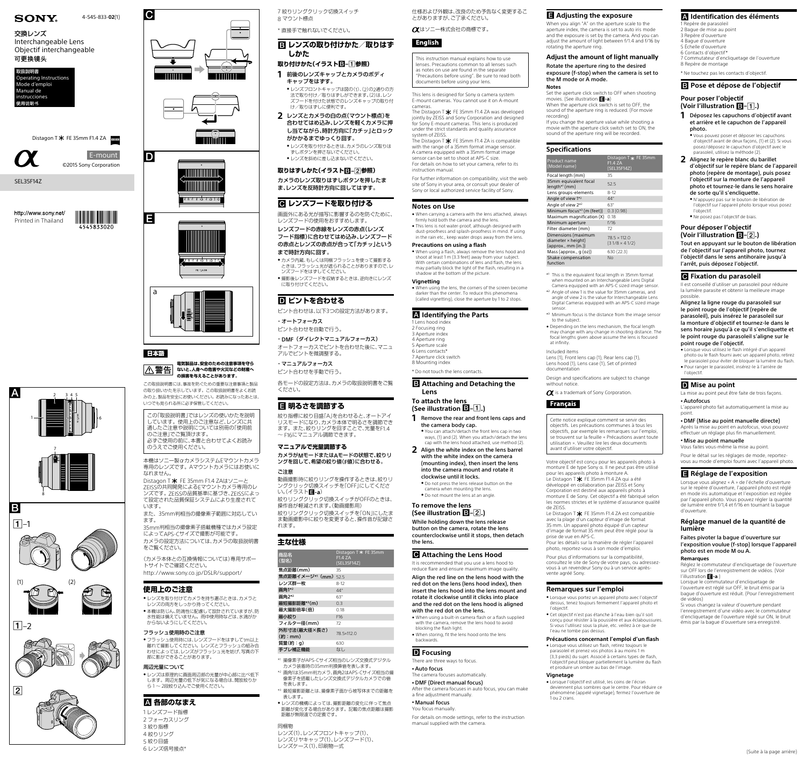













## 日本語

 $|C|$ 

**電気製品は、安全のための注意事項を守ら** |△警告 **ないと、人身への危害や火災などの財産へ**

**の損害を与えることがあります。** この取扱説明書には、事故を防ぐための重要な注意事項と製品 の取り扱いかたを示しています。この取扱説明書をよくお読 みの上、製品を安全にお使いください。お読みになったあとは、 いつでも見られる所に必ず保管してください。

Distagon T \* FE 35mm F1.4 ZAはソニーと ZEISSの共同開発によるEマウントカメラ専用のレ ンズです。ZEISSの品質基準に基づき、ZEISSによっ て設定された品質保証システムにより生産されて います。

この「取扱説明書」ではレンズの使いかたを説明 しています。使用上のご注意など、レンズに共 通したご注意や説明については別冊の「使用前 のご注意」でご覧頂けます。 必ずご使用の前に、本書と合わせてよくお読み

のうえでご使用ください。

本機はソニー製αカメラシステムEマウントカメラ 専用のレンズです。Aマウントカメラにはお使いに なれません。

- ●レンズを取り付けてカメラを持ち運ぶときは、カメラと レンズの両方をしっかり持ってください。 ●本機は防じん、防滴性に配慮して設計されていますが、防
- 水性能は備えていません。雨中使用時などは、水滴がか からないようにしてください。

● フラッシュ使用時には、レンズフードをはずして1m以上 離れて撮影してください。レンズとフラッシュの組み合 わせによっては、レンズがフラッシュ光を妨げ、写真の下 部に影ができることがあります。

● レンズは原理的に画面周辺部の光量が中心部に比べ低下 します。周辺光量の低下が気になる場合は、開放絞りか ら1~ 2段絞り込んでご使用ください。

また、35mm判相当の撮像素子範囲に対応してい ます。

35mm判相当の撮像素子搭載機種ではカメラ設定 によってAPS-Cサイズで撮影が可能です。 カメラの設定方法については、カメラの取扱説明書

- **1** 前後のレンズキャップとカメラのボディ キャップをはずす。
- レンズフロントキャップは図の(1)、(2)の2通りの方 法で取り付け/取りはずしができます。(2)は、レン ズフードを付けた状態でのレンズキャップの取り付 け/取りはずしに便利です。
- **2** レンズとカメラの白の点(マウント標点)を 合わせてはめ込み、レンズを軽くカメラに押 し当てながら、時計方向に「カチッ」とロック がかかるまでゆっくり回す。
	- レンズを取り付けるときは、カメラのレンズ取りは ずしボタンを押さないでください。 ●レンズを斜めに差し込まないでください。

をご覧ください。

(カメラ本体との互換情報については)専用サポー トサイトでご確認ください。 http://www.sony.co.jp/DSLR/support/

#### **使用上のご注意**

## フラッシュ使用時のご注意

- カメラ内蔵、もしくは同梱フラッシュを使って撮影する ときは、フラッシュ光が遮られることがありますので、レ
- ンズフードをはずしてください。 ●撮影後レンズフードを収納するときは、逆向きにレンズ に取り付けてください。

## **D**ピントを合わせる

#### 周辺光量について

## **各部のなまえ**

1 レンズフード指標 2 フォーカスリング 3 絞り指標 4 絞りリング 5 絞り目盛 6 レンズ信号接点\*

## 7 絞りリングクリック切換スイッチ

8 マウント標点

 $\overline{\phantom{a}}$ 

\* 直接手で触れないでください。

#### **レンズの取り付けかた/取りはず しかた**

### **取り付けかた(イラスト–参照)**

#### **取りはずしかた(イラスト–参照)**

カメラのレンズ取りはずしボタンを押したま ま、レンズを反時計方向に回してはずす。

## **■ レンズフードを取り付ける**

画面外にある光が描写に影響するのを防ぐために、 レンズフードの使用をおすすめします。 レンズフードの赤線をレンズの赤点(レンズ フード指標)に合わせてはめ込み、レンズフード の赤点とレンズの赤点が合って「カチッ」という まで時計方向に回す。

This lens is designed for Sony  $\alpha$  camera system E-mount cameras. You cannot use it on A-mount cameras.

The Distagon T $*$  FE 35mm F1.4 ZA was developed jointly by ZEISS and Sony Corporation and designed for Sony E-mount cameras. This lens is produced under the strict standards and quality assurance system of ZEISS.

ピント合わせは、以下3つの設定方法があります。

・オートフォーカス

ピント合わせを自動で行う。

The Distagon T  $\bigstar$  FE 35mm F1.4 ZA is compatible with the range of a 35mm format image sensor. A camera equipped with a 35mm format image sensor can be set to shoot at APS-C size. For details on how to set your camera, refer to its instruction manual.

・DMF(ダイレクトマニュアルフォーカス) オートフォーカスでピントを合わせた後に、マニュ

アルでピントを微調整する。

#### ・マニュアルフォーカス ピント合わせを手動で行う。

各モードの設定方法は、カメラの取扱説明書をご覧 ください。

## **明るさを調節する**

絞り指標に絞り目盛「A」を合わせると、オートアイ リスモードになり、カメラ本体で明るさを調節でき ます。また、絞りリングを回すことで、光量をF1.4 ~ F16にマニュアル調節できます。

#### **マニュアルで光量調節する**

カメラがMモードまたはAモードの状態で、絞りリ ングを回して、希望の絞り値(F値)に合わせる。

## ご注意

動画撮影時に絞りリングを操作するときは、絞りリ ングクリック切換スイッチを「OFF」にしてくださ い。(イラスト**目-a**) 絞りリングクリック切換スイッチがOFFのときは、

操作音が軽減されます。(動画撮影用) 絞りリングクリック切換スイッチを「ON」にしたま ま動画撮影中に絞りを変更すると、操作音が記録さ れます。

### **主な仕様**

| —— "U" I— TAR               |                                                       |
|-----------------------------|-------------------------------------------------------|
| 商品名<br>(型名)                 | Distagon T * FE 35mm<br><b>F1.4 ZA</b><br>(SEL35F14Z) |
| 焦点距離(mm)                    | 35                                                    |
| <b>焦点距離イメージ*1 (mm) 52.5</b> |                                                       |
| レンズ群一枚                      | $8 - 12$                                              |
| 画角1*2                       | $44^{\circ}$                                          |
| 画角2*2                       | $63^\circ$                                            |
| 最短撮影距離*3(m)                 | 0.3                                                   |
| 最大撮影倍率(倍)                   | 0.18                                                  |
| 最小絞り                        | F <sub>16</sub>                                       |
| フィルター径(mm)                  | 72                                                    |
| 外形寸法(最大径×長さ)<br>(約:mm)      | 78.5×112.0                                            |

**質量(約:g)** 630 手ブレ補正機能 なし

- **(See illustration –.) 1** Remove the rear and front lens caps and
	- the camera body cap. ˎˎ You can attach/detach the front lens cap in two ways, (1) and (2). When you attach/detach the lens cap with the lens hood attached, use method (2).
- **2** Align the white index on the lens barrel with the white index on the camera (mounting index), then insert the lens into the camera mount and rotate it clockwise until it locks.
	- $\bullet$  Do not press the lens release button on the camera when mounting the lens.  $\bullet$  Do not mount the lens at an angle.

- \*1 撮像素子がAPS-Cサイズ相当のレンズ交換式デジタル
- カメラ装着時の35mm判換算値を表します。
- \*2 画角1は35mm判カメラ、画角2はAPS-Cサイズ相当の撮 像素子を搭載したレンズ交換式デジタルカメラでの値
- を表します。
- \*3 最短撮影距離とは、撮像素子面から被写体までの距離を 表します。
- レンズの機構によっては、撮影距離の変化に伴って焦点 距離が変化する場合があります。記載の焦点距離は撮影 距離が無限遠での定義です。

## 同梱物

レンズ(1)、レンズフロントキャップ(1)、 レンズリヤキャップ(1)、レンズフード(1)、 レンズケース(1)、印刷物一式

#### 仕様および外観は、改良のため予告なく変更するこ とがありますが、ご了承ください。

はソニー株式会社の商標です。

## **English**

This instruction manual explains how to use lenses. Precautions common to all lenses such as notes on use are found in the separate "Precautions before using". Be sure to read both documents before using your lens.

The camera focuses automatically. • DMF (Direct manual focus)

• Manual focus You focus manually.

## **SONY**

交換レンズ Interchangeable Lens Objectif interchangeable 可更换镜头

http://www.sony.net/ Printed in Thailand



If you change the aperture value while shooting a movie with the aperture click switch set to ON, the sound of the aperture ring will be recorded

For further information on compatibility, visit the web site of Sony in your area, or consult your dealer of Sony or local authorized service facility of Sony.

#### **Notes on Use**

Mass (approx. Shake compe function

- ˎˎ When carrying a camera with the lens attached, always firmly hold both the camera and the lens. • This lens is not water-proof, although designed with
- dust-proofness and splash-proofness in mind. If using in the rain etc., keep water drops away from the lens.

#### **Precautions on using a flash**

ˎˎ When using a flash, always remove the lens hood and shoot at least 1 m (3.3 feet) away from your subject. With certain combinations of lens and flash, the lens may partially block the light of the flash, resulting in a shadow at the bottom of the picture.

#### **Vignetting**

ˎˎ When using the lens, the corners of the screen become darker than the center. To reduce this phenomena (called vignetting), close the aperture by 1 to 2 stops.

#### **Identifying the Parts** 1 Lens hood index

2 Focusing ring 3 Aperture index 4 Aperture ring 5 Aperture scale 6 Lens contacts\* 7 Aperture click switch 8 Mounting index

> Le Distagon T $*$  FE 35mm F1.4 ZA qui a été développé en collaboration par ZEISS et Sony Corporation est destiné aux appareils photo à monture E de Sony. Cet objectif a été fabriqué selon les normes strictes et le système d'assurance qualité

\* Do not touch the lens contacts.

#### **Attaching and Detaching the Lens**

Le Distagon T $*$  FE 35mm F1.4 ZA est compatible avec la plage d'un capteur d'image de format 35 mm. Un appareil photo équipé d'un capteur d'image de format 35 mm peut être réglé pour la prise de vue en APS-C.

## **To attach the lens**

**To remove the lens (See illustration –.)**

1 Repère de parasolei 2 Bague de mise au point

While holding down the lens release button on the camera, rotate the lens counterclockwise until it stops, then detach

the lens.

 **Attaching the Lens Hood**  It is recommended that you use a lens hood to reduce flare and ensure maximum image quality. Align the red line on the lens hood with the red dot on the lens (lens hood index), then insert the lens hood into the lens mount and rotate it clockwise until it clicks into place and the red dot on the lens hood is aligned

with the red dot on the lens.

ˎˎ When using a built-in camera flash or a flash supplied with the camera, remove the lens hood to avoid

blocking the flash light.

ˎˎ When storing, fit the lens hood onto the lens

backwards.

**D** Focusing

• Auto focus

There are three ways to focus.

After the camera focuses in auto focus, you can make

a fine adjustment manually.

La mise au point peut être faite de trois façons. • Autofocus

For details on mode settings, refer to the instruction

manual supplied with the camera.

4-545-833-**02**(1)

D

SEL35F14Z





Distagon T  $*$  FE 35mm F1.4 ZA  $_{2488}$ 

### **Adjusting the exposure**

Réglez le commutateur d'encliquetage de l'ouverture sur OFF lors de l'enregistrement de vidéos. (Voir lustration **deta**.)

When you align "A" on the aperture scale to the aperture index, the camera is set to auto iris mode and the exposure is set by the camera. And you can adjust the amount of light between f/1.4 and f/16 by rotating the aperture ring.

#### **Adjust the amount of light manually** Rotate the aperture ring to the desired exposure (f-stop) when the camera is set to the M mode or A mode.

**Notes**

Set the aperture click switch to OFF when shooting movies. (See illustration **=-a**) When the aperture click switch is set to OFF, the sound of the aperture ring is reduced. (For movie

recording)

#### **Specifications**

| <b>Product name</b><br>(Model name)                                              | Distagon T * FE 35mm<br>F1.4 ZA<br>(SEL35F14Z) |
|----------------------------------------------------------------------------------|------------------------------------------------|
| Focal length (mm)                                                                | 35                                             |
| 35mm equivalent focal<br>$length*1$ (mm)                                         | 52.5                                           |
| Lens groups-elements                                                             | $8 - 12$                                       |
| Angle of view 1 <sup>*2</sup>                                                    | $44^{\circ}$                                   |
| Angle of view $2*^2$                                                             | $63^\circ$                                     |
| Minimum focus $*$ <sup>3</sup> (m (feet))                                        | 0.3(0.98)                                      |
| Maximum magnification (X)                                                        | 0.18                                           |
| Minimum aperture                                                                 | f/16                                           |
| Filter diameter (mm)                                                             | 72                                             |
| Dimensions (maximum<br>$diameter \times height)$<br>${\rm (approx. , mm (in.))}$ | $78.5 \times 112.0$<br>$(31/8 \times 41/2)$    |
| Mass (approx., $q$ (oz))                                                         | 630 (22.3)                                     |
| Shake compensation                                                               | No                                             |

\*1 This is the equivalent focal length in 35mm format when mounted on an Interchangeable Lens Digital Camera equipped with an APS-C sized image sensor. \*2 Angle of view 1 is the value for 35mm cameras, and angle of view 2 is the value for Interchangeable Lens Digital Cameras equipped with an APS-C sized image

sensor.

\*3 Minimum focus is the distance from the image sensor to the subject.

- Depending on the lens mechanism, the focal length may change with any change in shooting distance. The focal lengths given above assume the lens is focused
- Included items
- Lens (1), Front lens cap (1), Rear lens cap (1), Lens hood (1), Lens case (1), Set of printed documentation
- Design and specifications are subject to change without notice
- $\alpha$  is a trademark of Sony Corporation.

at infinity.

**Français** 

Cette notice explique comment se servir des objectifs. Les précautions communes à tous les objectifs, par exemple les remarques sur l'emploi, se trouvent sur la feuille « Précautions avant toute utilisation ». Veuillez lire les deux documents avant d'utiliser votre objectif.

Votre objectif est conçu pour les appareils photo à monture E de type Sony α. Il ne peut pas être utilisé pour les appareils photo à monture A.

de ZEISS.

Pour les détails sur la manière de régler l'appareil photo, reportez-vous à son mode d'emploi.

Pour plus d'informations sur la compatibilité, consultez le site de Sony de votre pays, ou adressezvous à un revendeur Sony ou à un service aprèsvente agréé Sony.

#### **Remarques sur l'emploi**

ˎˎ Lorsque vous portez un appareil photo avec l'objectif dessus, tenez toujours fermement l'appareil photo et

l'objectif.

ˎˎ Cet objectif n'est pas étanche à l'eau bien qu'il soit conçu pour résister à la poussière et aux éclaboussures. Si vous l'utilisez sous la pluie, etc. veillez à ce que de l'eau ne tombe pas dessus.

#### **Précautions concernant l'emploi d'un flash**

ˎˎ Lorsque vous utilisez un flash, retirez toujours le parasoleil et prenez vos photos à au moins 1 m (3,3 pieds) du sujet. Associé à certains types de flash, l'objectif peut bloquer partiellement la lumière du flash et produire un ombre au bas de l'image.

**Vignetage** 

ˎˎ Lorsque l'objectif est utilisé, les coins de l'écran deviennent plus sombres que le centre. Pour réduire ce phénomène (appelé vignetage), fermez l'ouverture de

1 ou 2 crans.

#### **Identification des éléments**

- 3 Repère d'ouverture
- 4 Bague d'ouverture
- 5 Échelle d'ouverture
- 6 Contacts d'objectif \* 7 Commutateur d'encliquetage de l'ouverture 8 Repère de montage
- \* Ne touchez pas les contacts d'objectif.

#### **Pose et dépose de l'objectif**

## **Pour poser l'objectif (Voir l'illustration –.)**

- **1** Déposez les capuchons d'objectif avant et arrière et le capuchon de l'appareil photo.
	- ˎˎ Vous pouvez poser et déposer les capuchons d'objectif avant de deux façons, (1) et (2). Si vous posez/déposez le capuchon d'objectif avec le parasoleil, utilisez la méthode (2).
- **2** Alignez le repère blanc du barillet d'objectif sur le repère blanc de l'appareil photo (repère de montage), puis posez l'objectif sur la monture de l'appareil photo et tournez-le dans le sens horaire de sorte qu'il s'encliquette.
	- ˎˎ N'appuyez pas sur le bouton de libération de l'objectif sur l'appareil photo lorsque vous posez l'objectif.
	- ˎˎ Ne posez pas l'objectif de biais.

## **Pour déposer l'objectif**

**(Voir l'illustration –.)**  Tout en appuyant sur le bouton de libération de l'objectif sur l'appareil photo, tournez l'objectif dans le sens antihoraire jusqu'à l'arrêt, puis déposez l'objectif.

#### *<b>e* Fixation du parasoleil

Il est conseillé d'utiliser un parasoleil pour réduire la lumière parasite et obtenir la meilleure image possible.

Alignez la ligne rouge du parasoleil sur le point rouge de l'objectif (repère de parasoleil), puis insérez le parasoleil sur la monture d'objectif et tournez-le dans le sens horaire jusqu'à ce qu'il s'encliquette et le point rouge du parasoleil s'aligne sur le point rouge de l'objectif.

ˎˎ Lorsque vous utilisez le flash intégré d'un appareil photo ou le flash fourni avec un appareil photo, retirez le parasoleil pour éviter de bloquer la lumière du flash. ˎˎ Pour ranger le parasoleil, insérez-le à l'arrière de

l'objectif.

### **D** Mise au point

L'appareil photo fait automatiquement la mise au point.

ˎˎ DMF (Mise au point manuelle directe)

Après la mise au point en autofocus, vous pouvez effectuer un réglage plus fin manuellement.

#### ˎˎ Mise au point manuelle

Vous faites vous-même la mise au point.

Pour le détail sur les réglages de mode, reportezvous au mode d'emploi fourni avec l'appareil photo.

#### **Réglage de l'exposition**

Lorsque vous alignez « A » de l'échelle d'ouverture sur le repère d'ouverture, l'appareil photo est réglé en mode iris automatique et l'exposition est réglée par l'appareil photo. Vous pouvez régler la quantité de lumière entre f/1,4 et f/16 en tournant la bague d'ouverture.

#### **Réglage manuel de la quantité de lumière**

#### Faites pivoter la bague d'ouverture sur l'exposition voulue (f-stop) lorsque l'appareil photo est en mode M ou A.

#### **Remarques**

Lorsque le commutateur d'encliquetage de

l'ouverture est réglé sur OFF, le bruit émis par la bague d'ouverture est réduit. (Pour l'enregistrement de vidéos)

Si vous changez la valeur d'ouverture pendant l'enregistrement d'une vidéo avec le commutateur d'encliquetage de l'ouverture réglé sur ON, le bruit émis par la bague d'ouverture sera enregistré.